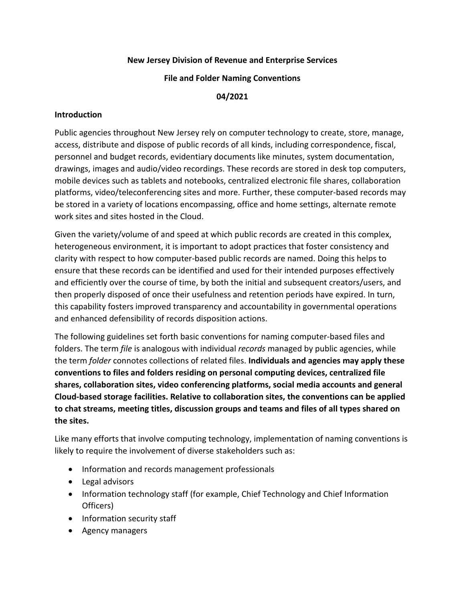# **New Jersey Division of Revenue and Enterprise Services**

#### **File and Folder Naming Conventions**

#### **04/2021**

### **Introduction**

Public agencies throughout New Jersey rely on computer technology to create, store, manage, access, distribute and dispose of public records of all kinds, including correspondence, fiscal, personnel and budget records, evidentiary documents like minutes, system documentation, drawings, images and audio/video recordings. These records are stored in desk top computers, mobile devices such as tablets and notebooks, centralized electronic file shares, collaboration platforms, video/teleconferencing sites and more. Further, these computer-based records may be stored in a variety of locations encompassing, office and home settings, alternate remote work sites and sites hosted in the Cloud.

Given the variety/volume of and speed at which public records are created in this complex, heterogeneous environment, it is important to adopt practices that foster consistency and clarity with respect to how computer-based public records are named. Doing this helps to ensure that these records can be identified and used for their intended purposes effectively and efficiently over the course of time, by both the initial and subsequent creators/users, and then properly disposed of once their usefulness and retention periods have expired. In turn, this capability fosters improved transparency and accountability in governmental operations and enhanced defensibility of records disposition actions.

The following guidelines set forth basic conventions for naming computer-based files and folders. The term *file* is analogous with individual *records* managed by public agencies, while the term *folder* connotes collections of related files. **Individuals and agencies may apply these conventions to files and folders residing on personal computing devices, centralized file shares, collaboration sites, video conferencing platforms, social media accounts and general Cloud-based storage facilities. Relative to collaboration sites, the conventions can be applied to chat streams, meeting titles, discussion groups and teams and files of all types shared on the sites.**

Like many efforts that involve computing technology, implementation of naming conventions is likely to require the involvement of diverse stakeholders such as:

- Information and records management professionals
- Legal advisors
- Information technology staff (for example, Chief Technology and Chief Information Officers)
- Information security staff
- Agency managers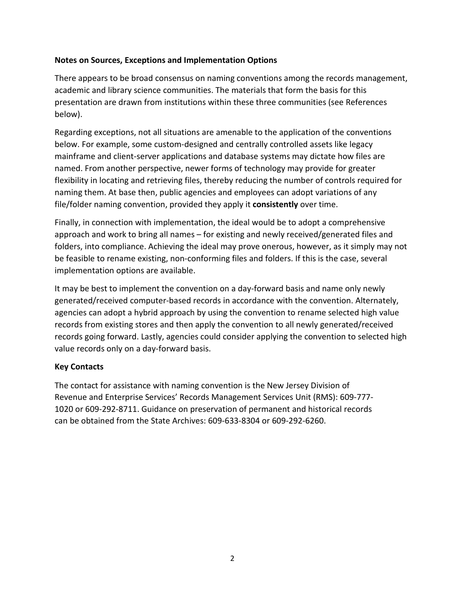# **Notes on Sources, Exceptions and Implementation Options**

There appears to be broad consensus on naming conventions among the records management, academic and library science communities. The materials that form the basis for this presentation are drawn from institutions within these three communities (see References below).

Regarding exceptions, not all situations are amenable to the application of the conventions below. For example, some custom-designed and centrally controlled assets like legacy mainframe and client-server applications and database systems may dictate how files are named. From another perspective, newer forms of technology may provide for greater flexibility in locating and retrieving files, thereby reducing the number of controls required for naming them. At base then, public agencies and employees can adopt variations of any file/folder naming convention, provided they apply it **consistently** over time.

Finally, in connection with implementation, the ideal would be to adopt a comprehensive approach and work to bring all names – for existing and newly received/generated files and folders, into compliance. Achieving the ideal may prove onerous, however, as it simply may not be feasible to rename existing, non-conforming files and folders. If this is the case, several implementation options are available.

It may be best to implement the convention on a day-forward basis and name only newly generated/received computer-based records in accordance with the convention. Alternately, agencies can adopt a hybrid approach by using the convention to rename selected high value records from existing stores and then apply the convention to all newly generated/received records going forward. Lastly, agencies could consider applying the convention to selected high value records only on a day-forward basis.

### **Key Contacts**

The contact for assistance with naming convention is the New Jersey Division of Revenue and Enterprise Services' Records Management Services Unit (RMS): 609-777- 1020 or 609-292-8711. Guidance on preservation of permanent and historical records can be obtained from the State Archives: 609-633-8304 or 609-292-6260.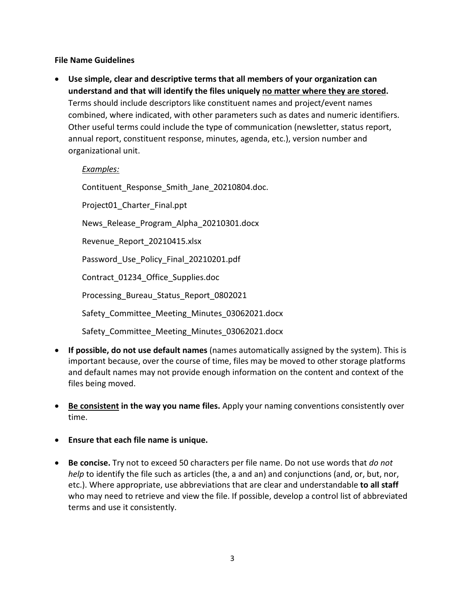# **File Name Guidelines**

• **Use simple, clear and descriptive terms that all members of your organization can understand and that will identify the files uniquely no matter where they are stored.** Terms should include descriptors like constituent names and project/event names combined, where indicated, with other parameters such as dates and numeric identifiers. Other useful terms could include the type of communication (newsletter, status report, annual report, constituent response, minutes, agenda, etc.), version number and organizational unit.

# *Examples:*

Contituent Response Smith Jane 20210804.doc.

Project01 Charter Final.ppt

News\_Release\_Program\_Alpha\_20210301.docx

Revenue Report 20210415.xlsx

Password Use Policy Final 20210201.pdf

Contract\_01234\_Office\_Supplies.doc

Processing\_Bureau\_Status\_Report\_0802021

Safety Committee Meeting Minutes 03062021.docx

Safety\_Committee\_Meeting\_Minutes\_03062021.docx

- **If possible, do not use default names** (names automatically assigned by the system). This is important because, over the course of time, files may be moved to other storage platforms and default names may not provide enough information on the content and context of the files being moved.
- **Be consistent in the way you name files.** Apply your naming conventions consistently over time.
- **Ensure that each file name is unique.**
- **Be concise.** Try not to exceed 50 characters per file name. Do not use words that *do not help* to identify the file such as articles (the, a and an) and conjunctions (and, or, but, nor, etc.). Where appropriate, use abbreviations that are clear and understandable **to all staff** who may need to retrieve and view the file. If possible, develop a control list of abbreviated terms and use it consistently.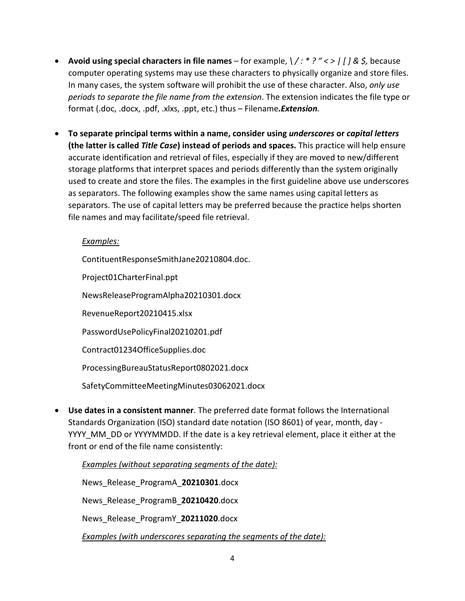- **Avoid using special characters in file names** for example, *\ / : \* ? " < > | [ ] & \$,* because computer operating systems may use these characters to physically organize and store files. In many cases, the system software will prohibit the use of these character. Also, *only use periods to separate the file name from the extension*. The extension indicates the file type or format (.doc, .docx, .pdf, .xlxs, .ppt, etc.) thus – Filename*.Extension.*
- **To separate principal terms within a name, consider using** *underscores* **or** *capital letters* **(the latter is called** *Title Case***) instead of periods and spaces.** This practice will help ensure accurate identification and retrieval of files, especially if they are moved to new/different storage platforms that interpret spaces and periods differently than the system originally used to create and store the files. The examples in the first guideline above use underscores as separators. The following examples show the same names using capital letters as separators. The use of capital letters may be preferred because the practice helps shorten file names and may facilitate/speed file retrieval.

# *Examples:*

ContituentResponseSmithJane20210804.doc.

Project01CharterFinal.ppt

NewsReleaseProgramAlpha20210301.docx

RevenueReport20210415.xlsx

PasswordUsePolicyFinal20210201.pdf

Contract01234OfficeSupplies.doc

ProcessingBureauStatusReport0802021.docx

SafetyCommitteeMeetingMinutes03062021.docx

• **Use dates in a consistent manner**. The preferred date format follows the International Standards Organization (ISO) standard date notation (ISO 8601) of year, month, day - YYYY\_MM\_DD or YYYYMMDD. If the date is a key retrieval element, place it either at the front or end of the file name consistently:

*Examples (without separating segments of the date):* News\_Release\_ProgramA\_**20210301**.docx News\_Release\_ProgramB\_**20210420**.docx News\_Release\_ProgramY\_**20211020**.docx *Examples (with underscores separating the segments of the date):*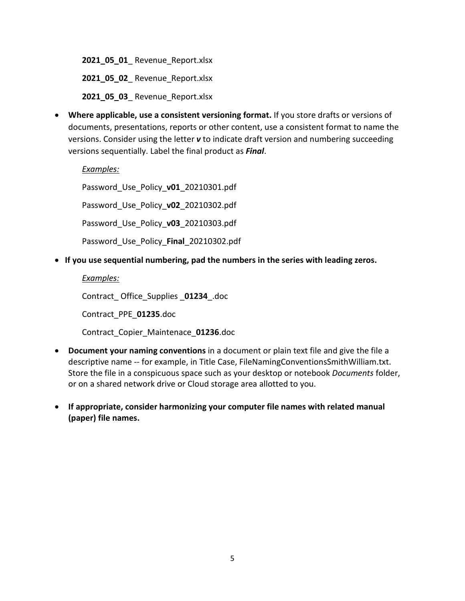**2021\_05\_01**\_ Revenue\_Report.xlsx

**2021\_05\_02**\_ Revenue\_Report.xlsx

**2021\_05\_03**\_ Revenue\_Report.xlsx

• **Where applicable, use a consistent versioning format.** If you store drafts or versions of documents, presentations, reports or other content, use a consistent format to name the versions. Consider using the letter *v* to indicate draft version and numbering succeeding versions sequentially. Label the final product as *Final*.

#### *Examples:*

Password\_Use\_Policy\_**v01**\_20210301.pdf

Password\_Use\_Policy\_**v02**\_20210302.pdf

Password\_Use\_Policy\_**v03**\_20210303.pdf

Password\_Use\_Policy\_**Final**\_20210302.pdf

• **If you use sequential numbering, pad the numbers in the series with leading zeros.**

#### *Examples:*

Contract\_ Office\_Supplies \_**01234**\_.doc

Contract\_PPE\_**01235**.doc

Contract\_Copier\_Maintenace\_**01236**.doc

- **Document your naming conventions** in a document or plain text file and give the file a descriptive name -- for example, in Title Case, FileNamingConventionsSmithWilliam.txt. Store the file in a conspicuous space such as your desktop or notebook *Documents* folder, or on a shared network drive or Cloud storage area allotted to you.
- **If appropriate, consider harmonizing your computer file names with related manual (paper) file names.**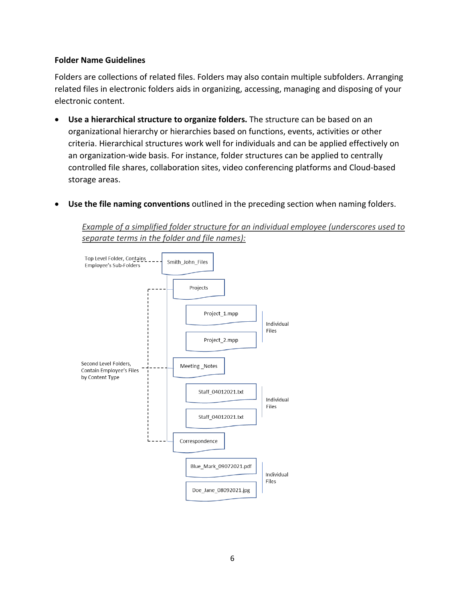#### **Folder Name Guidelines**

Folders are collections of related files. Folders may also contain multiple subfolders. Arranging related files in electronic folders aids in organizing, accessing, managing and disposing of your electronic content.

- **Use a hierarchical structure to organize folders.** The structure can be based on an organizational hierarchy or hierarchies based on functions, events, activities or other criteria. Hierarchical structures work well for individuals and can be applied effectively on an organization-wide basis. For instance, folder structures can be applied to centrally controlled file shares, collaboration sites, video conferencing platforms and Cloud-based storage areas.
- **Use the file naming conventions** outlined in the preceding section when naming folders.

*Example of a simplified folder structure for an individual employee (underscores used to separate terms in the folder and file names):*

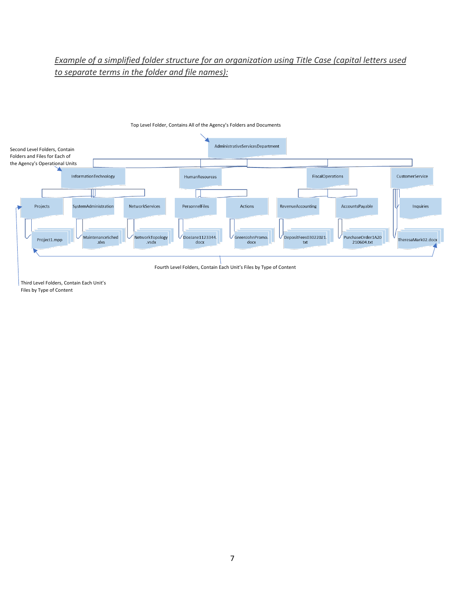# *Example of a simplified folder structure for an organization using Title Case (capital letters used to separate terms in the folder and file names):*



Top Level Folder, Contains All of the Agency's Folders and Documents

Third Level Folders, Contain Each Unit's Files by Type of Content